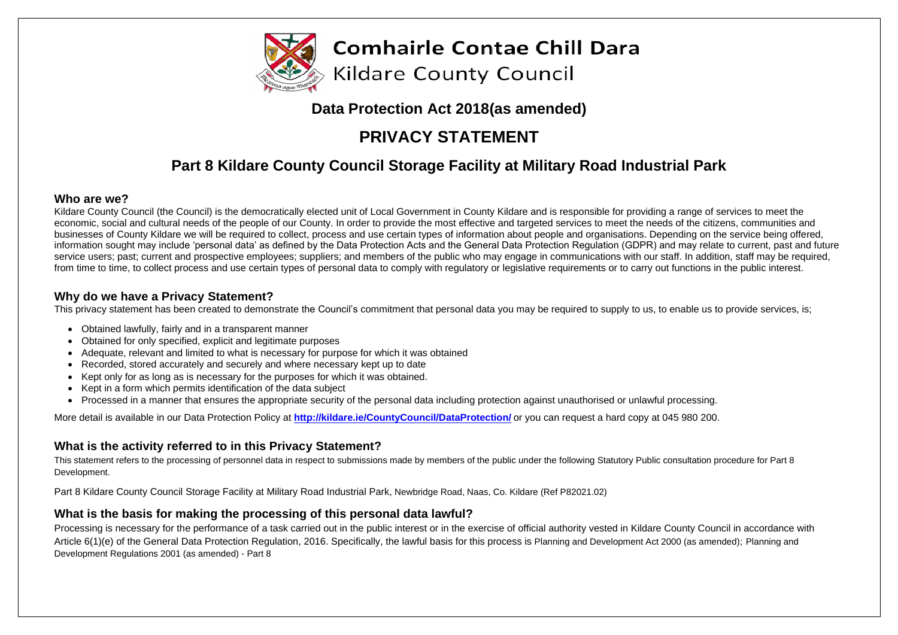

# **Data Protection Act 2018(as amended)**

# **PRIVACY STATEMENT**

# **Part 8 Kildare County Council Storage Facility at Military Road Industrial Park**

### **Who are we?**

Kildare County Council (the Council) is the democratically elected unit of Local Government in County Kildare and is responsible for providing a range of services to meet the economic, social and cultural needs of the people of our County. In order to provide the most effective and targeted services to meet the needs of the citizens, communities and businesses of County Kildare we will be required to collect, process and use certain types of information about people and organisations. Depending on the service being offered, information sought may include 'personal data' as defined by the Data Protection Acts and the General Data Protection Regulation (GDPR) and may relate to current, past and future service users; past; current and prospective employees; suppliers; and members of the public who may engage in communications with our staff. In addition, staff may be required, from time to time, to collect process and use certain types of personal data to comply with regulatory or legislative requirements or to carry out functions in the public interest.

### **Why do we have a Privacy Statement?**

This privacy statement has been created to demonstrate the Council's commitment that personal data you may be required to supply to us, to enable us to provide services, is;

- Obtained lawfully, fairly and in a transparent manner
- Obtained for only specified, explicit and legitimate purposes
- Adequate, relevant and limited to what is necessary for purpose for which it was obtained
- Recorded, stored accurately and securely and where necessary kept up to date
- Kept only for as long as is necessary for the purposes for which it was obtained.
- Kept in a form which permits identification of the data subject
- Processed in a manner that ensures the appropriate security of the personal data including protection against unauthorised or unlawful processing.

More detail is available in our Data Protection Policy at **<http://kildare.ie/CountyCouncil/DataProtection/>** or you can request a hard copy at 045 980 200.

## **What is the activity referred to in this Privacy Statement?**

This statement refers to the processing of personnel data in respect to submissions made by members of the public under the following Statutory Public consultation procedure for Part 8 Development.

Part 8 Kildare County Council Storage Facility at Military Road Industrial Park, Newbridge Road, Naas, Co. Kildare (Ref P82021.02)

## **What is the basis for making the processing of this personal data lawful?**

Processing is necessary for the performance of a task carried out in the public interest or in the exercise of official authority vested in Kildare County Council in accordance with Article 6(1)(e) of the General Data Protection Regulation, 2016. Specifically, the lawful basis for this process is Planning and Development Act 2000 (as amended); Planning and Development Regulations 2001 (as amended) - Part 8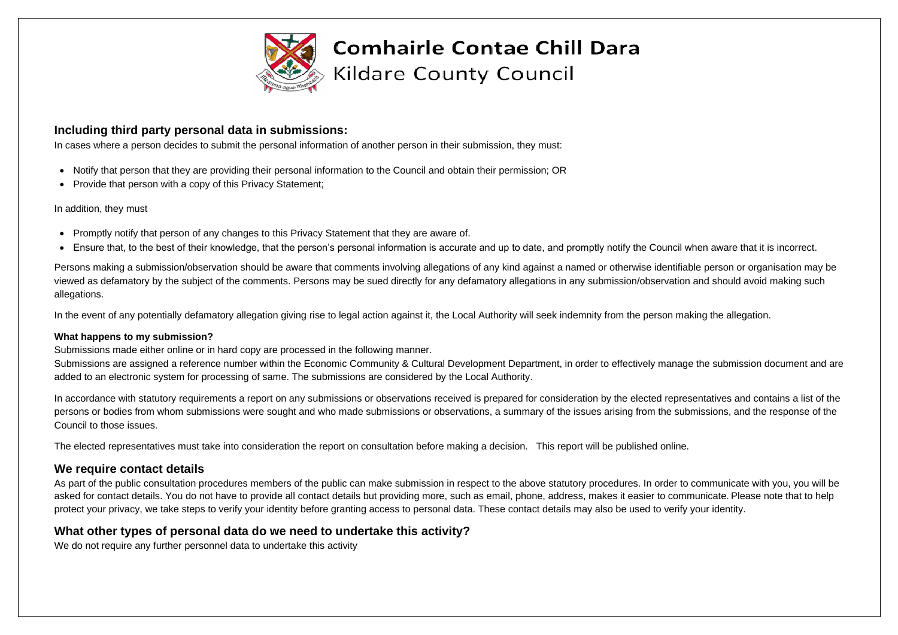

### **Including third party personal data in submissions:**

In cases where a person decides to submit the personal information of another person in their submission, they must:

- Notify that person that they are providing their personal information to the Council and obtain their permission; OR
- Provide that person with a copy of this Privacy Statement;

#### In addition, they must

- Promptly notify that person of any changes to this Privacy Statement that they are aware of.
- Ensure that, to the best of their knowledge, that the person's personal information is accurate and up to date, and promptly notify the Council when aware that it is incorrect.

Submissions are assigned a reference number within the Economic Community & Cultural Development Department, in order to effectively manage the submission document and are added to an electronic system for processing of same. The submissions are considered by the Local Authority.

Persons making a submission/observation should be aware that comments involving allegations of any kind against a named or otherwise identifiable person or organisation may be viewed as defamatory by the subject of the comments. Persons may be sued directly for any defamatory allegations in any submission/observation and should avoid making such allegations.

In the event of any potentially defamatory allegation giving rise to legal action against it, the Local Authority will seek indemnity from the person making the allegation.

#### **What happens to my submission?**

Submissions made either online or in hard copy are processed in the following manner.

As part of the public consultation procedures members of the public can make submission in respect to the above statutory procedures. In order to communicate with you, you will be asked for contact details. You do not have to provide all contact details but providing more, such as email, phone, address, makes it easier to communicate. Please note that to help protect your privacy, we take steps to verify your identity before granting access to personal data. These contact details may also be used to verify your identity.

In accordance with statutory requirements a report on any submissions or observations received is prepared for consideration by the elected representatives and contains a list of the persons or bodies from whom submissions were sought and who made submissions or observations, a summary of the issues arising from the submissions, and the response of the Council to those issues.

The elected representatives must take into consideration the report on consultation before making a decision. This report will be published online.

## **We require contact details**

## **What other types of personal data do we need to undertake this activity?**

We do not require any further personnel data to undertake this activity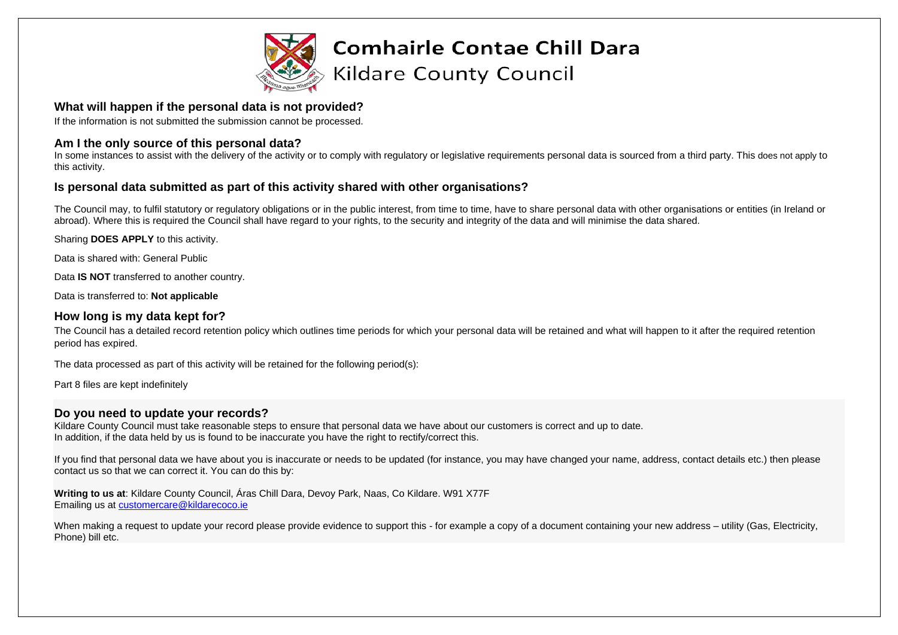

### **What will happen if the personal data is not provided?**

If the information is not submitted the submission cannot be processed.

### **Am I the only source of this personal data?**

In some instances to assist with the delivery of the activity or to comply with regulatory or legislative requirements personal data is sourced from a third party. This does not apply to this activity.

### **Is personal data submitted as part of this activity shared with other organisations?**

The Council may, to fulfil statutory or regulatory obligations or in the public interest, from time to time, have to share personal data with other organisations or entities (in Ireland or abroad). Where this is required the Council shall have regard to your rights, to the security and integrity of the data and will minimise the data shared.

Kildare County Council must take reasonable steps to ensure that personal data we have about our customers is correct and up to date. In addition, if the data held by us is found to be inaccurate you have the right to rectify/correct this.

Sharing **DOES APPLY** to this activity.

Data is shared with: General Public

Data **IS NOT** transferred to another country.

Data is transferred to: **Not applicable**

### **How long is my data kept for?**

When making a request to update your record please provide evidence to support this - for example a copy of a document containing your new address – utility (Gas, Electricity, Phone) bill etc.

The Council has a detailed record retention policy which outlines time periods for which your personal data will be retained and what will happen to it after the required retention period has expired.

The data processed as part of this activity will be retained for the following period(s):

Part 8 files are kept indefinitely

### **Do you need to update your records?**

If you find that personal data we have about you is inaccurate or needs to be updated (for instance, you may have changed your name, address, contact details etc.) then please contact us so that we can correct it. You can do this by:

**Writing to us at**: Kildare County Council, Áras Chill Dara, Devoy Park, Naas, Co Kildare. W91 X77F Emailing us at [customercare@kildarecoco.ie](mailto:customercare@kildarecoco.ie)